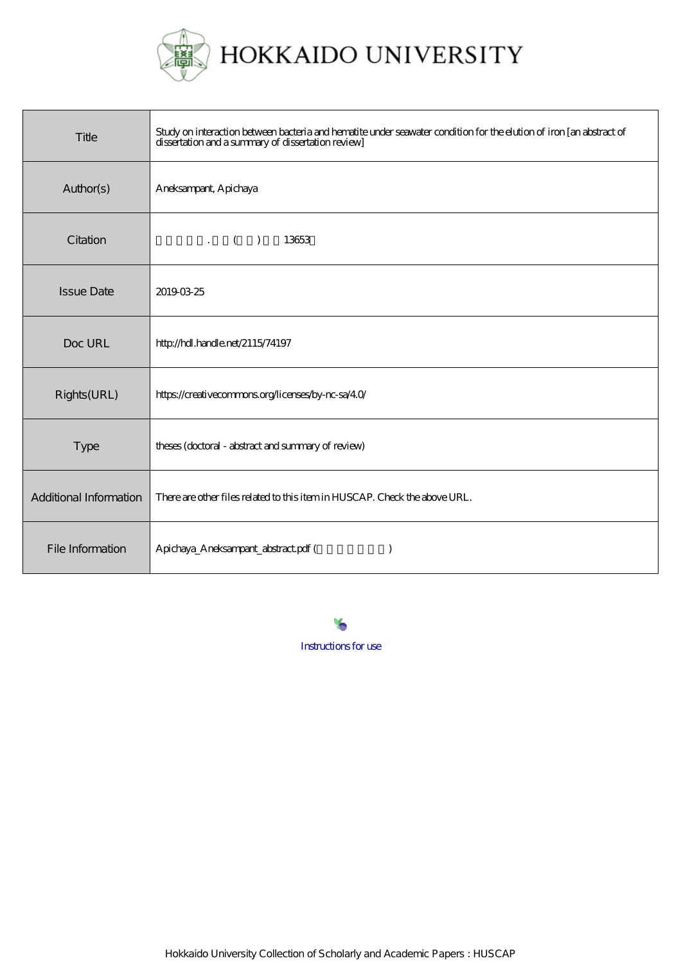

| Title                  | Study on interaction between bacteria and hematite under seawater condition for the elution of iron [an abstract of<br>dissertation and a summary of dissertation review] |
|------------------------|---------------------------------------------------------------------------------------------------------------------------------------------------------------------------|
| Author(s)              | Aneksampant, Apichaya                                                                                                                                                     |
| Citation               | 13653<br>$\cdot$ ( )                                                                                                                                                      |
| <b>Issue Date</b>      | 20190325                                                                                                                                                                  |
| Doc URL                | http://hdl.handle.net/2115/74197                                                                                                                                          |
| Rights(URL)            | https://creativecommons.org/licenses/by-nc-sa/40/                                                                                                                         |
| Type                   | theses (doctoral - abstract and summary of review)                                                                                                                        |
| Additional Information | There are other files related to this item in HUSCAP. Check the above URL.                                                                                                |
| File Information       | Apichaya_Aneksampant_abstract.pdf (                                                                                                                                       |

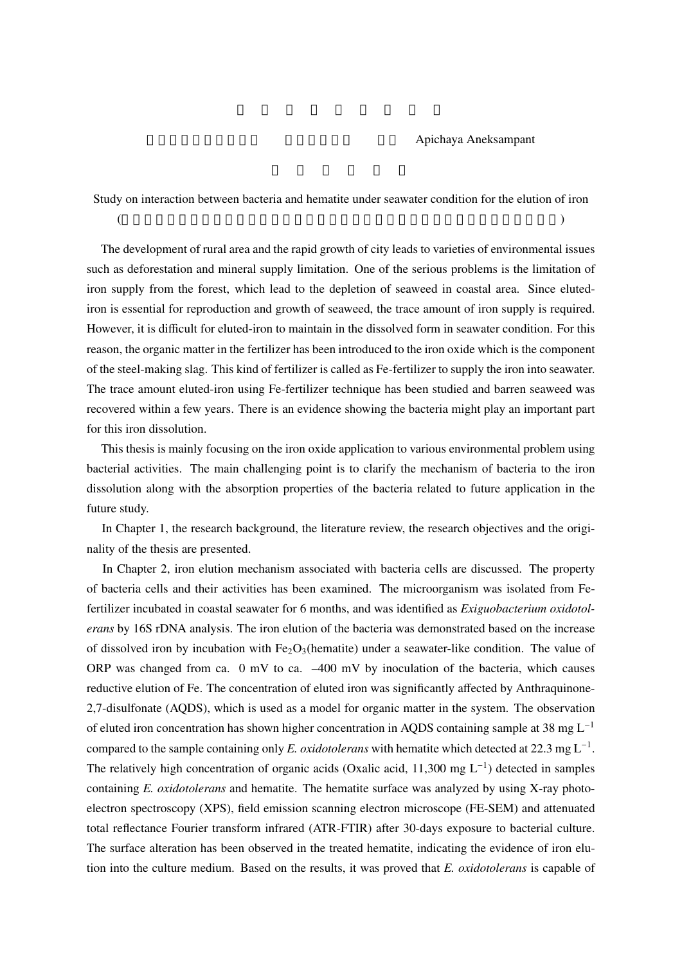## Apichaya Aneksampant

Study on interaction between bacteria and hematite under seawater condition for the elution of iron  $\overline{A}$ 

The development of rural area and the rapid growth of city leads to varieties of environmental issues such as deforestation and mineral supply limitation. One of the serious problems is the limitation of iron supply from the forest, which lead to the depletion of seaweed in coastal area. Since elutediron is essential for reproduction and growth of seaweed, the trace amount of iron supply is required. However, it is difficult for eluted-iron to maintain in the dissolved form in seawater condition. For this reason, the organic matter in the fertilizer has been introduced to the iron oxide which is the component of the steel-making slag. This kind of fertilizer is called as Fe-fertilizer to supply the iron into seawater. The trace amount eluted-iron using Fe-fertilizer technique has been studied and barren seaweed was recovered within a few years. There is an evidence showing the bacteria might play an important part for this iron dissolution.

This thesis is mainly focusing on the iron oxide application to various environmental problem using bacterial activities. The main challenging point is to clarify the mechanism of bacteria to the iron dissolution along with the absorption properties of the bacteria related to future application in the future study.

In Chapter 1, the research background, the literature review, the research objectives and the originality of the thesis are presented.

In Chapter 2, iron elution mechanism associated with bacteria cells are discussed. The property of bacteria cells and their activities has been examined. The microorganism was isolated from Fefertilizer incubated in coastal seawater for 6 months, and was identified as *Exiguobacterium oxidotolerans* by 16S rDNA analysis. The iron elution of the bacteria was demonstrated based on the increase of dissolved iron by incubation with  $Fe<sub>2</sub>O<sub>3</sub>$ (hematite) under a seawater-like condition. The value of ORP was changed from ca. 0 mV to ca. –400 mV by inoculation of the bacteria, which causes reductive elution of Fe. The concentration of eluted iron was significantly affected by Anthraquinone-2,7-disulfonate (AQDS), which is used as a model for organic matter in the system. The observation of eluted iron concentration has shown higher concentration in AQDS containing sample at 38 mg L−<sup>1</sup> compared to the sample containing only *E. oxidotolerans* with hematite which detected at 22.3 mg  $L^{-1}$ . The relatively high concentration of organic acids (Oxalic acid, 11,300 mg L−<sup>1</sup> ) detected in samples containing *E. oxidotolerans* and hematite. The hematite surface was analyzed by using X-ray photoelectron spectroscopy (XPS), field emission scanning electron microscope (FE-SEM) and attenuated total reflectance Fourier transform infrared (ATR-FTIR) after 30-days exposure to bacterial culture. The surface alteration has been observed in the treated hematite, indicating the evidence of iron elution into the culture medium. Based on the results, it was proved that *E. oxidotolerans* is capable of